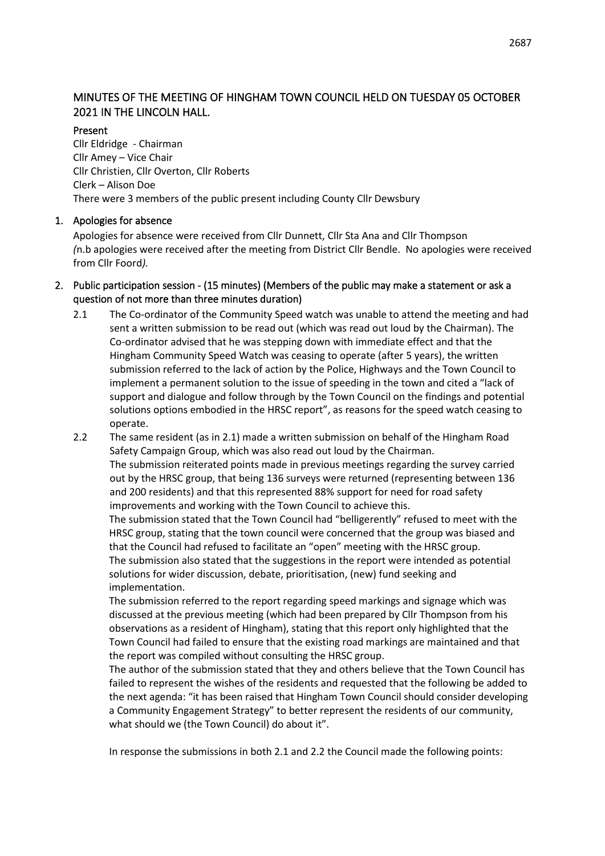# MINUTES OF THE MEETING OF HINGHAM TOWN COUNCIL HELD ON TUESDAY 05 OCTOBER 2021 IN THE LINCOLN HALL.

## Present

Cllr Eldridge - Chairman Cllr Amey – Vice Chair Cllr Christien, Cllr Overton, Cllr Roberts Clerk – Alison Doe There were 3 members of the public present including County Cllr Dewsbury

# 1. Apologies for absence

Apologies for absence were received from Cllr Dunnett, Cllr Sta Ana and Cllr Thompson *(*n.b apologies were received after the meeting from District Cllr Bendle. No apologies were received from Cllr Foord*).*

- 2. Public participation session (15 minutes) (Members of the public may make a statement or ask a question of not more than three minutes duration)
	- 2.1 The Co-ordinator of the Community Speed watch was unable to attend the meeting and had sent a written submission to be read out (which was read out loud by the Chairman). The Co-ordinator advised that he was stepping down with immediate effect and that the Hingham Community Speed Watch was ceasing to operate (after 5 years), the written submission referred to the lack of action by the Police, Highways and the Town Council to implement a permanent solution to the issue of speeding in the town and cited a "lack of support and dialogue and follow through by the Town Council on the findings and potential solutions options embodied in the HRSC report", as reasons for the speed watch ceasing to operate.
	- 2.2 The same resident (as in 2.1) made a written submission on behalf of the Hingham Road Safety Campaign Group, which was also read out loud by the Chairman. The submission reiterated points made in previous meetings regarding the survey carried out by the HRSC group, that being 136 surveys were returned (representing between 136 and 200 residents) and that this represented 88% support for need for road safety improvements and working with the Town Council to achieve this. The submission stated that the Town Council had "belligerently" refused to meet with the HRSC group, stating that the town council were concerned that the group was biased and that the Council had refused to facilitate an "open" meeting with the HRSC group. The submission also stated that the suggestions in the report were intended as potential solutions for wider discussion, debate, prioritisation, (new) fund seeking and implementation.

The submission referred to the report regarding speed markings and signage which was discussed at the previous meeting (which had been prepared by Cllr Thompson from his observations as a resident of Hingham), stating that this report only highlighted that the Town Council had failed to ensure that the existing road markings are maintained and that the report was compiled without consulting the HRSC group.

The author of the submission stated that they and others believe that the Town Council has failed to represent the wishes of the residents and requested that the following be added to the next agenda: "it has been raised that Hingham Town Council should consider developing a Community Engagement Strategy" to better represent the residents of our community, what should we (the Town Council) do about it".

In response the submissions in both 2.1 and 2.2 the Council made the following points: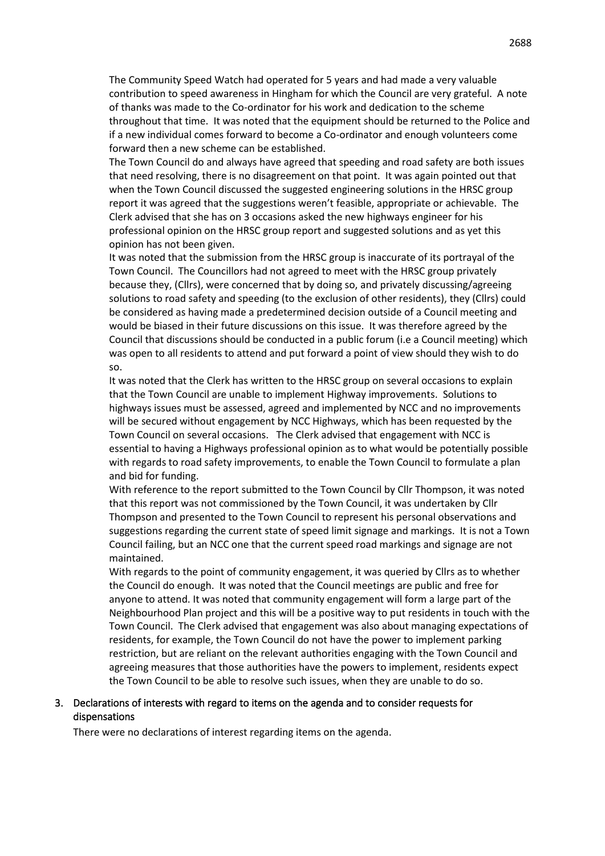The Community Speed Watch had operated for 5 years and had made a very valuable contribution to speed awareness in Hingham for which the Council are very grateful. A note of thanks was made to the Co-ordinator for his work and dedication to the scheme throughout that time. It was noted that the equipment should be returned to the Police and if a new individual comes forward to become a Co-ordinator and enough volunteers come forward then a new scheme can be established.

The Town Council do and always have agreed that speeding and road safety are both issues that need resolving, there is no disagreement on that point. It was again pointed out that when the Town Council discussed the suggested engineering solutions in the HRSC group report it was agreed that the suggestions weren't feasible, appropriate or achievable. The Clerk advised that she has on 3 occasions asked the new highways engineer for his professional opinion on the HRSC group report and suggested solutions and as yet this opinion has not been given.

It was noted that the submission from the HRSC group is inaccurate of its portrayal of the Town Council. The Councillors had not agreed to meet with the HRSC group privately because they, (Cllrs), were concerned that by doing so, and privately discussing/agreeing solutions to road safety and speeding (to the exclusion of other residents), they (Cllrs) could be considered as having made a predetermined decision outside of a Council meeting and would be biased in their future discussions on this issue. It was therefore agreed by the Council that discussions should be conducted in a public forum (i.e a Council meeting) which was open to all residents to attend and put forward a point of view should they wish to do so.

It was noted that the Clerk has written to the HRSC group on several occasions to explain that the Town Council are unable to implement Highway improvements. Solutions to highways issues must be assessed, agreed and implemented by NCC and no improvements will be secured without engagement by NCC Highways, which has been requested by the Town Council on several occasions. The Clerk advised that engagement with NCC is essential to having a Highways professional opinion as to what would be potentially possible with regards to road safety improvements, to enable the Town Council to formulate a plan and bid for funding.

With reference to the report submitted to the Town Council by Cllr Thompson, it was noted that this report was not commissioned by the Town Council, it was undertaken by Cllr Thompson and presented to the Town Council to represent his personal observations and suggestions regarding the current state of speed limit signage and markings. It is not a Town Council failing, but an NCC one that the current speed road markings and signage are not maintained.

With regards to the point of community engagement, it was queried by Cllrs as to whether the Council do enough. It was noted that the Council meetings are public and free for anyone to attend. It was noted that community engagement will form a large part of the Neighbourhood Plan project and this will be a positive way to put residents in touch with the Town Council. The Clerk advised that engagement was also about managing expectations of residents, for example, the Town Council do not have the power to implement parking restriction, but are reliant on the relevant authorities engaging with the Town Council and agreeing measures that those authorities have the powers to implement, residents expect the Town Council to be able to resolve such issues, when they are unable to do so.

#### 3. Declarations of interests with regard to items on the agenda and to consider requests for dispensations

There were no declarations of interest regarding items on the agenda.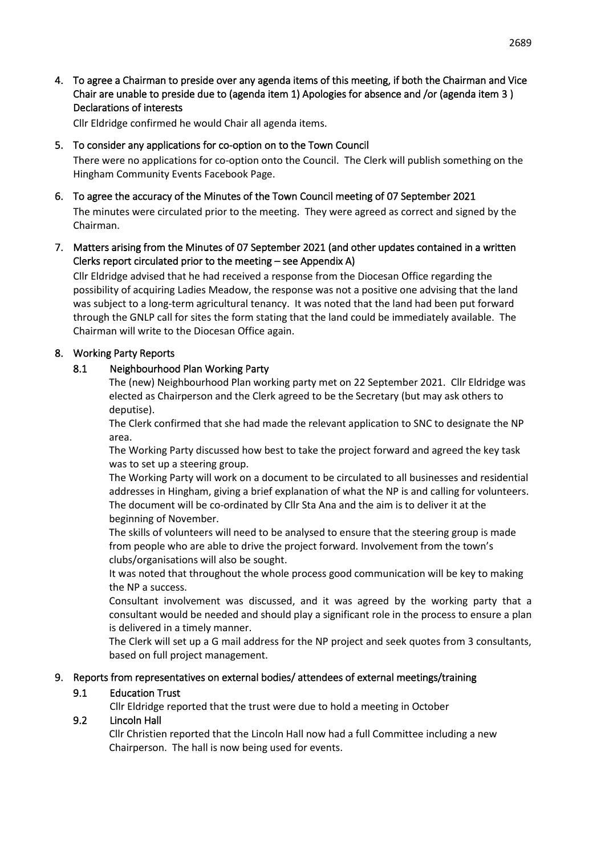4. To agree a Chairman to preside over any agenda items of this meeting, if both the Chairman and Vice Chair are unable to preside due to (agenda item 1) Apologies for absence and /or (agenda item 3 ) Declarations of interests

Cllr Eldridge confirmed he would Chair all agenda items.

#### 5. To consider any applications for co-option on to the Town Council

There were no applications for co-option onto the Council. The Clerk will publish something on the Hingham Community Events Facebook Page.

6. To agree the accuracy of the Minutes of the Town Council meeting of 07 September 2021 The minutes were circulated prior to the meeting. They were agreed as correct and signed by the Chairman.

## 7. Matters arising from the Minutes of 07 September 2021 (and other updates contained in a written Clerks report circulated prior to the meeting – see Appendix A)

Cllr Eldridge advised that he had received a response from the Diocesan Office regarding the possibility of acquiring Ladies Meadow, the response was not a positive one advising that the land was subject to a long-term agricultural tenancy. It was noted that the land had been put forward through the GNLP call for sites the form stating that the land could be immediately available. The Chairman will write to the Diocesan Office again.

#### 8. Working Party Reports

#### 8.1 Neighbourhood Plan Working Party

The (new) Neighbourhood Plan working party met on 22 September 2021. Cllr Eldridge was elected as Chairperson and the Clerk agreed to be the Secretary (but may ask others to deputise).

The Clerk confirmed that she had made the relevant application to SNC to designate the NP area.

The Working Party discussed how best to take the project forward and agreed the key task was to set up a steering group.

The Working Party will work on a document to be circulated to all businesses and residential addresses in Hingham, giving a brief explanation of what the NP is and calling for volunteers. The document will be co-ordinated by Cllr Sta Ana and the aim is to deliver it at the beginning of November.

The skills of volunteers will need to be analysed to ensure that the steering group is made from people who are able to drive the project forward. Involvement from the town's clubs/organisations will also be sought.

It was noted that throughout the whole process good communication will be key to making the NP a success.

Consultant involvement was discussed, and it was agreed by the working party that a consultant would be needed and should play a significant role in the process to ensure a plan is delivered in a timely manner.

The Clerk will set up a G mail address for the NP project and seek quotes from 3 consultants, based on full project management.

#### 9. Reports from representatives on external bodies/ attendees of external meetings/training

## 9.1 Education Trust

Cllr Eldridge reported that the trust were due to hold a meeting in October

#### 9.2 Lincoln Hall

Cllr Christien reported that the Lincoln Hall now had a full Committee including a new Chairperson. The hall is now being used for events.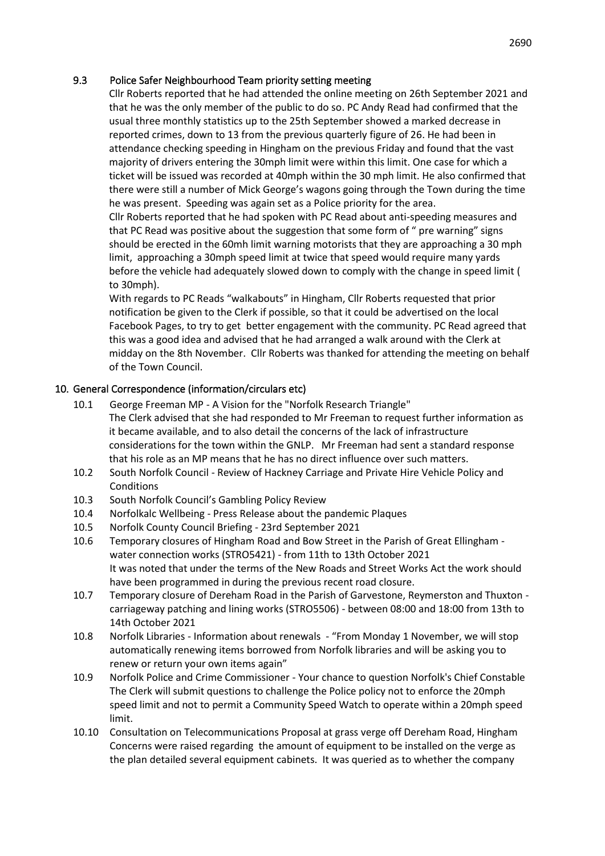## 9.3 Police Safer Neighbourhood Team priority setting meeting

Cllr Roberts reported that he had attended the online meeting on 26th September 2021 and that he was the only member of the public to do so. PC Andy Read had confirmed that the usual three monthly statistics up to the 25th September showed a marked decrease in reported crimes, down to 13 from the previous quarterly figure of 26. He had been in attendance checking speeding in Hingham on the previous Friday and found that the vast majority of drivers entering the 30mph limit were within this limit. One case for which a ticket will be issued was recorded at 40mph within the 30 mph limit. He also confirmed that there were still a number of Mick George's wagons going through the Town during the time he was present. Speeding was again set as a Police priority for the area.

Cllr Roberts reported that he had spoken with PC Read about anti-speeding measures and that PC Read was positive about the suggestion that some form of " pre warning" signs should be erected in the 60mh limit warning motorists that they are approaching a 30 mph limit, approaching a 30mph speed limit at twice that speed would require many yards before the vehicle had adequately slowed down to comply with the change in speed limit ( to 30mph).

With regards to PC Reads "walkabouts" in Hingham, Cllr Roberts requested that prior notification be given to the Clerk if possible, so that it could be advertised on the local Facebook Pages, to try to get better engagement with the community. PC Read agreed that this was a good idea and advised that he had arranged a walk around with the Clerk at midday on the 8th November. Cllr Roberts was thanked for attending the meeting on behalf of the Town Council.

## 10. General Correspondence (information/circulars etc)

- 10.1 George Freeman MP A Vision for the "Norfolk Research Triangle" The Clerk advised that she had responded to Mr Freeman to request further information as it became available, and to also detail the concerns of the lack of infrastructure considerations for the town within the GNLP. Mr Freeman had sent a standard response that his role as an MP means that he has no direct influence over such matters.
- 10.2 South Norfolk Council Review of Hackney Carriage and Private Hire Vehicle Policy and Conditions
- 10.3 South Norfolk Council's Gambling Policy Review
- 10.4 Norfolkalc Wellbeing Press Release about the pandemic Plaques
- 10.5 Norfolk County Council Briefing 23rd September 2021
- 10.6 Temporary closures of Hingham Road and Bow Street in the Parish of Great Ellingham water connection works (STRO5421) - from 11th to 13th October 2021 It was noted that under the terms of the New Roads and Street Works Act the work should have been programmed in during the previous recent road closure.
- 10.7 Temporary closure of Dereham Road in the Parish of Garvestone, Reymerston and Thuxton carriageway patching and lining works (STRO5506) - between 08:00 and 18:00 from 13th to 14th October 2021
- 10.8 Norfolk Libraries Information about renewals "From Monday 1 November, we will stop automatically renewing items borrowed from Norfolk libraries and will be asking you to renew or return your own items again"
- 10.9 Norfolk Police and Crime Commissioner Your chance to question Norfolk's Chief Constable The Clerk will submit questions to challenge the Police policy not to enforce the 20mph speed limit and not to permit a Community Speed Watch to operate within a 20mph speed limit.
- 10.10 Consultation on Telecommunications Proposal at grass verge off Dereham Road, Hingham Concerns were raised regarding the amount of equipment to be installed on the verge as the plan detailed several equipment cabinets. It was queried as to whether the company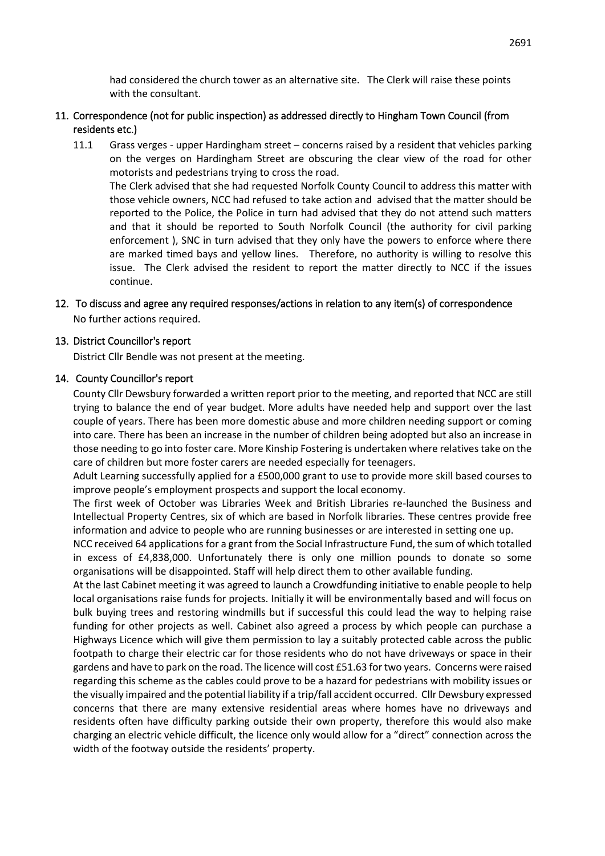had considered the church tower as an alternative site. The Clerk will raise these points with the consultant.

## 11. Correspondence (not for public inspection) as addressed directly to Hingham Town Council (from residents etc.)

11.1 Grass verges - upper Hardingham street – concerns raised by a resident that vehicles parking on the verges on Hardingham Street are obscuring the clear view of the road for other motorists and pedestrians trying to cross the road. The Clerk advised that she had requested Norfolk County Council to address this matter with those vehicle owners, NCC had refused to take action and advised that the matter should be reported to the Police, the Police in turn had advised that they do not attend such matters and that it should be reported to South Norfolk Council (the authority for civil parking enforcement ), SNC in turn advised that they only have the powers to enforce where there are marked timed bays and yellow lines. Therefore, no authority is willing to resolve this issue. The Clerk advised the resident to report the matter directly to NCC if the issues continue.

## 12. To discuss and agree any required responses/actions in relation to any item(s) of correspondence No further actions required.

#### 13. District Councillor's report

District Cllr Bendle was not present at the meeting.

#### 14. County Councillor's report

County Cllr Dewsbury forwarded a written report prior to the meeting, and reported that NCC are still trying to balance the end of year budget. More adults have needed help and support over the last couple of years. There has been more domestic abuse and more children needing support or coming into care. There has been an increase in the number of children being adopted but also an increase in those needing to go into foster care. More Kinship Fostering is undertaken where relatives take on the care of children but more foster carers are needed especially for teenagers.

Adult Learning successfully applied for a £500,000 grant to use to provide more skill based courses to improve people's employment prospects and support the local economy.

The first week of October was Libraries Week and British Libraries re-launched the Business and Intellectual Property Centres, six of which are based in Norfolk libraries. These centres provide free information and advice to people who are running businesses or are interested in setting one up.

NCC received 64 applications for a grant from the Social Infrastructure Fund, the sum of which totalled in excess of £4,838,000. Unfortunately there is only one million pounds to donate so some organisations will be disappointed. Staff will help direct them to other available funding.

At the last Cabinet meeting it was agreed to launch a Crowdfunding initiative to enable people to help local organisations raise funds for projects. Initially it will be environmentally based and will focus on bulk buying trees and restoring windmills but if successful this could lead the way to helping raise funding for other projects as well. Cabinet also agreed a process by which people can purchase a Highways Licence which will give them permission to lay a suitably protected cable across the public footpath to charge their electric car for those residents who do not have driveways or space in their gardens and have to park on the road. The licence will cost £51.63 for two years. Concerns were raised regarding this scheme as the cables could prove to be a hazard for pedestrians with mobility issues or the visually impaired and the potential liability if a trip/fall accident occurred. Cllr Dewsbury expressed concerns that there are many extensive residential areas where homes have no driveways and residents often have difficulty parking outside their own property, therefore this would also make charging an electric vehicle difficult, the licence only would allow for a "direct" connection across the width of the footway outside the residents' property.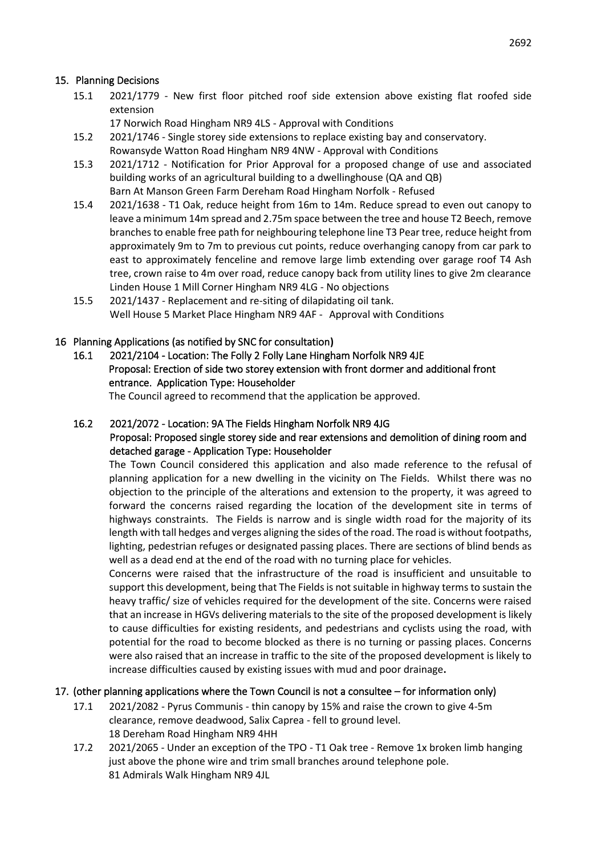## 15. Planning Decisions

- 15.1 2021/1779 New first floor pitched roof side extension above existing flat roofed side extension
	- 17 Norwich Road Hingham NR9 4LS Approval with Conditions
- 15.2 2021/1746 Single storey side extensions to replace existing bay and conservatory.
	- Rowansyde Watton Road Hingham NR9 4NW Approval with Conditions
- 15.3 2021/1712 Notification for Prior Approval for a proposed change of use and associated building works of an agricultural building to a dwellinghouse (QA and QB) Barn At Manson Green Farm Dereham Road Hingham Norfolk - Refused
- 15.4 2021/1638 T1 Oak, reduce height from 16m to 14m. Reduce spread to even out canopy to leave a minimum 14m spread and 2.75m space between the tree and house T2 Beech, remove branches to enable free path for neighbouring telephone line T3 Pear tree, reduce height from approximately 9m to 7m to previous cut points, reduce overhanging canopy from car park to east to approximately fenceline and remove large limb extending over garage roof T4 Ash tree, crown raise to 4m over road, reduce canopy back from utility lines to give 2m clearance Linden House 1 Mill Corner Hingham NR9 4LG - No objections
- 15.5 2021/1437 Replacement and re-siting of dilapidating oil tank. Well House 5 Market Place Hingham NR9 4AF - Approval with Conditions

# 16 Planning Applications (as notified by SNC for consultation**)**

16.1 2021/2104 - Location: The Folly 2 Folly Lane Hingham Norfolk NR9 4JE Proposal: Erection of side two storey extension with front dormer and additional front entrance. Application Type: Householder

The Council agreed to recommend that the application be approved.

### 16.2 2021/2072 - Location: 9A The Fields Hingham Norfolk NR9 4JG Proposal: Proposed single storey side and rear extensions and demolition of dining room and detached garage - Application Type: Householder

The Town Council considered this application and also made reference to the refusal of planning application for a new dwelling in the vicinity on The Fields. Whilst there was no objection to the principle of the alterations and extension to the property, it was agreed to forward the concerns raised regarding the location of the development site in terms of highways constraints. The Fields is narrow and is single width road for the majority of its length with tall hedges and verges aligning the sides of the road. The road is without footpaths, lighting, pedestrian refuges or designated passing places. There are sections of blind bends as well as a dead end at the end of the road with no turning place for vehicles.

Concerns were raised that the infrastructure of the road is insufficient and unsuitable to support this development, being that The Fields is not suitable in highway terms to sustain the heavy traffic/ size of vehicles required for the development of the site. Concerns were raised that an increase in HGVs delivering materials to the site of the proposed development is likely to cause difficulties for existing residents, and pedestrians and cyclists using the road, with potential for the road to become blocked as there is no turning or passing places. Concerns were also raised that an increase in traffic to the site of the proposed development is likely to increase difficulties caused by existing issues with mud and poor drainage**.** 

# 17. (other planning applications where the Town Council is not a consultee – for information only)

- 17.1 2021/2082 Pyrus Communis thin canopy by 15% and raise the crown to give 4-5m clearance, remove deadwood, Salix Caprea - fell to ground level. 18 Dereham Road Hingham NR9 4HH
- 17.2 2021/2065 Under an exception of the TPO T1 Oak tree Remove 1x broken limb hanging just above the phone wire and trim small branches around telephone pole. 81 Admirals Walk Hingham NR9 4JL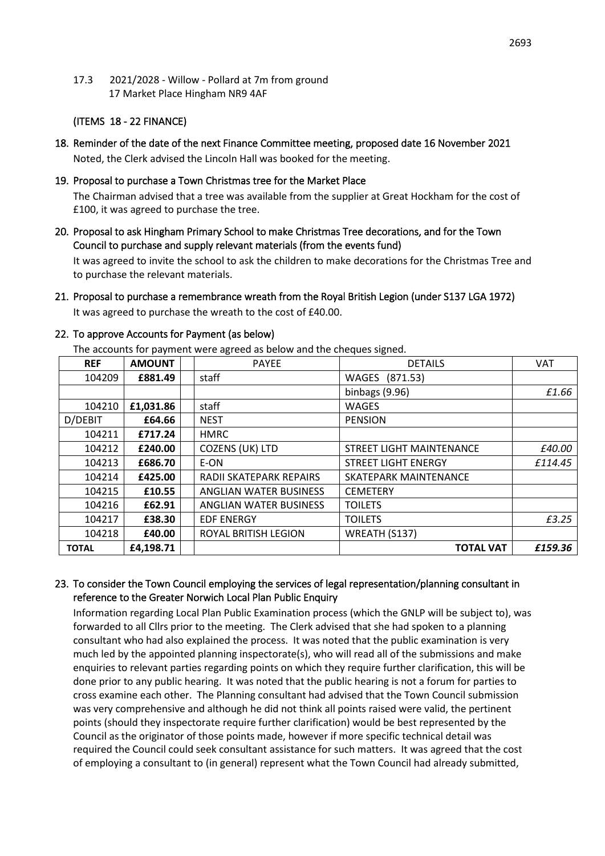17.3 2021/2028 - Willow - Pollard at 7m from ground 17 Market Place Hingham NR9 4AF

#### (ITEMS 18 - 22 FINANCE)

- 18. Reminder of the date of the next Finance Committee meeting, proposed date 16 November 2021 Noted, the Clerk advised the Lincoln Hall was booked for the meeting.
- 19. Proposal to purchase a Town Christmas tree for the Market Place The Chairman advised that a tree was available from the supplier at Great Hockham for the cost of £100, it was agreed to purchase the tree.
- 20. Proposal to ask Hingham Primary School to make Christmas Tree decorations, and for the Town Council to purchase and supply relevant materials (from the events fund)

It was agreed to invite the school to ask the children to make decorations for the Christmas Tree and to purchase the relevant materials.

21. Proposal to purchase a remembrance wreath from the Royal British Legion (under S137 LGA 1972) It was agreed to purchase the wreath to the cost of £40.00.

| The accounts for payment were agreed as below and the cheques signed. |               |  |                         |                          |            |
|-----------------------------------------------------------------------|---------------|--|-------------------------|--------------------------|------------|
| <b>REF</b>                                                            | <b>AMOUNT</b> |  | <b>PAYEE</b>            | <b>DETAILS</b>           | <b>VAT</b> |
| 104209                                                                | £881.49       |  | staff                   | WAGES (871.53)           |            |
|                                                                       |               |  |                         | binbags (9.96)           | £1.66      |
| 104210                                                                | £1,031.86     |  | staff                   | <b>WAGES</b>             |            |
| D/DEBIT                                                               | £64.66        |  | <b>NEST</b>             | <b>PENSION</b>           |            |
| 104211                                                                | £717.24       |  | <b>HMRC</b>             |                          |            |
| 104212                                                                | £240.00       |  | <b>COZENS (UK) LTD</b>  | STREET LIGHT MAINTENANCE | £40.00     |
| 104213                                                                | £686.70       |  | E-ON                    | STREET LIGHT ENERGY      | £114.45    |
| 104214                                                                | £425.00       |  | RADII SKATEPARK REPAIRS | SKATEPARK MAINTENANCE    |            |
| 104215                                                                | £10.55        |  | ANGLIAN WATER BUSINESS  | <b>CEMETERY</b>          |            |
| 104216                                                                | £62.91        |  | ANGLIAN WATER BUSINESS  | <b>TOILETS</b>           |            |
| 104217                                                                | £38.30        |  | <b>EDF ENERGY</b>       | <b>TOILETS</b>           | £3.25      |
| 104218                                                                | £40.00        |  | ROYAL BRITISH LEGION    | WREATH (S137)            |            |
| <b>TOTAL</b>                                                          | £4,198.71     |  |                         | <b>TOTAL VAT</b>         | £159.36    |

### 22. To approve Accounts for Payment (as below)

The accounts for payment were agreed as below and the cheques signed.

#### 23. To consider the Town Council employing the services of legal representation/planning consultant in reference to the Greater Norwich Local Plan Public Enquiry

Information regarding Local Plan Public Examination process (which the GNLP will be subject to), was forwarded to all Cllrs prior to the meeting. The Clerk advised that she had spoken to a planning consultant who had also explained the process. It was noted that the public examination is very much led by the appointed planning inspectorate(s), who will read all of the submissions and make enquiries to relevant parties regarding points on which they require further clarification, this will be done prior to any public hearing. It was noted that the public hearing is not a forum for parties to cross examine each other. The Planning consultant had advised that the Town Council submission was very comprehensive and although he did not think all points raised were valid, the pertinent points (should they inspectorate require further clarification) would be best represented by the Council as the originator of those points made, however if more specific technical detail was required the Council could seek consultant assistance for such matters. It was agreed that the cost of employing a consultant to (in general) represent what the Town Council had already submitted,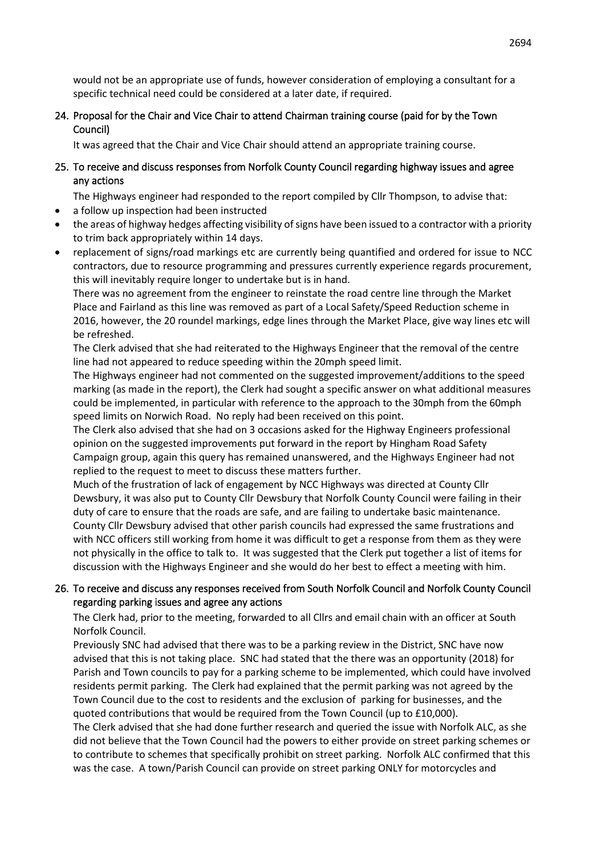would not be an appropriate use of funds, however consideration of employing a consultant for a specific technical need could be considered at a later date, if required.

## 24. Proposal for the Chair and Vice Chair to attend Chairman training course (paid for by the Town Council)

It was agreed that the Chair and Vice Chair should attend an appropriate training course.

25. To receive and discuss responses from Norfolk County Council regarding highway issues and agree any actions

The Highways engineer had responded to the report compiled by Cllr Thompson, to advise that:

- a follow up inspection had been instructed
- the areas of highway hedges affecting visibility of signs have been issued to a contractor with a priority to trim back appropriately within 14 days.
- replacement of signs/road markings etc are currently being quantified and ordered for issue to NCC contractors, due to resource programming and pressures currently experience regards procurement, this will inevitably require longer to undertake but is in hand.

There was no agreement from the engineer to reinstate the road centre line through the Market Place and Fairland as this line was removed as part of a Local Safety/Speed Reduction scheme in 2016, however, the 20 roundel markings, edge lines through the Market Place, give way lines etc will be refreshed.

The Clerk advised that she had reiterated to the Highways Engineer that the removal of the centre line had not appeared to reduce speeding within the 20mph speed limit.

The Highways engineer had not commented on the suggested improvement/additions to the speed marking (as made in the report), the Clerk had sought a specific answer on what additional measures could be implemented, in particular with reference to the approach to the 30mph from the 60mph speed limits on Norwich Road. No reply had been received on this point.

The Clerk also advised that she had on 3 occasions asked for the Highway Engineers professional opinion on the suggested improvements put forward in the report by Hingham Road Safety Campaign group, again this query has remained unanswered, and the Highways Engineer had not replied to the request to meet to discuss these matters further.

Much of the frustration of lack of engagement by NCC Highways was directed at County Cllr Dewsbury, it was also put to County Cllr Dewsbury that Norfolk County Council were failing in their duty of care to ensure that the roads are safe, and are failing to undertake basic maintenance. County Cllr Dewsbury advised that other parish councils had expressed the same frustrations and with NCC officers still working from home it was difficult to get a response from them as they were not physically in the office to talk to. It was suggested that the Clerk put together a list of items for discussion with the Highways Engineer and she would do her best to effect a meeting with him.

## 26. To receive and discuss any responses received from South Norfolk Council and Norfolk County Council regarding parking issues and agree any actions

The Clerk had, prior to the meeting, forwarded to all Cllrs and email chain with an officer at South Norfolk Council.

Previously SNC had advised that there was to be a parking review in the District, SNC have now advised that this is not taking place. SNC had stated that the there was an opportunity (2018) for Parish and Town councils to pay for a parking scheme to be implemented, which could have involved residents permit parking. The Clerk had explained that the permit parking was not agreed by the Town Council due to the cost to residents and the exclusion of parking for businesses, and the quoted contributions that would be required from the Town Council (up to £10,000). The Clerk advised that she had done further research and queried the issue with Norfolk ALC, as she did not believe that the Town Council had the powers to either provide on street parking schemes or to contribute to schemes that specifically prohibit on street parking. Norfolk ALC confirmed that this was the case. A town/Parish Council can provide on street parking ONLY for motorcycles and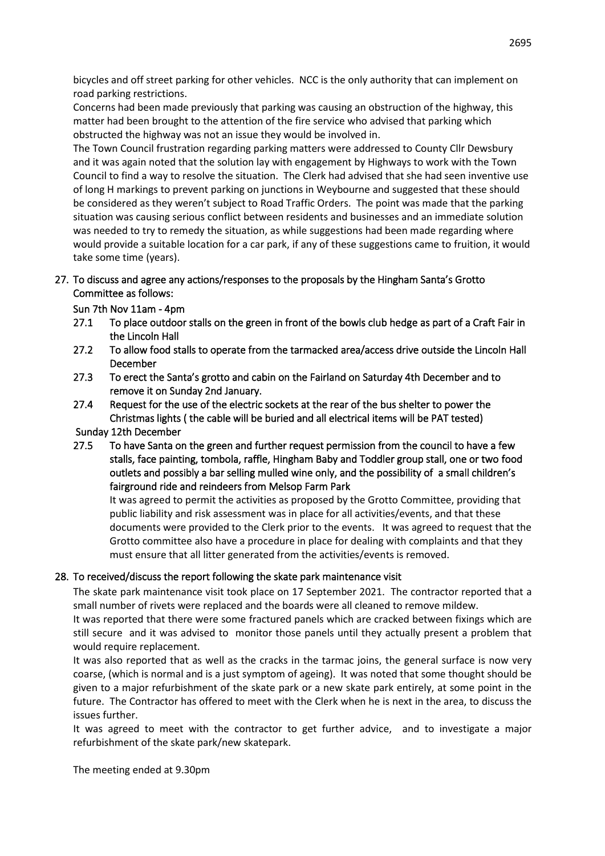bicycles and off street parking for other vehicles. NCC is the only authority that can implement on road parking restrictions.

Concerns had been made previously that parking was causing an obstruction of the highway, this matter had been brought to the attention of the fire service who advised that parking which obstructed the highway was not an issue they would be involved in.

The Town Council frustration regarding parking matters were addressed to County Cllr Dewsbury and it was again noted that the solution lay with engagement by Highways to work with the Town Council to find a way to resolve the situation. The Clerk had advised that she had seen inventive use of long H markings to prevent parking on junctions in Weybourne and suggested that these should be considered as they weren't subject to Road Traffic Orders. The point was made that the parking situation was causing serious conflict between residents and businesses and an immediate solution was needed to try to remedy the situation, as while suggestions had been made regarding where would provide a suitable location for a car park, if any of these suggestions came to fruition, it would take some time (years).

## 27. To discuss and agree any actions/responses to the proposals by the Hingham Santa's Grotto Committee as follows:

Sun 7th Nov 11am - 4pm

- 27.1 To place outdoor stalls on the green in front of the bowls club hedge as part of a Craft Fair in the Lincoln Hall
- 27.2 To allow food stalls to operate from the tarmacked area/access drive outside the Lincoln Hall December
- 27.3 To erect the Santa's grotto and cabin on the Fairland on Saturday 4th December and to remove it on Sunday 2nd January.
- 27.4 Request for the use of the electric sockets at the rear of the bus shelter to power the Christmas lights ( the cable will be buried and all electrical items will be PAT tested)

Sunday 12th December

27.5 To have Santa on the green and further request permission from the council to have a few stalls, face painting, tombola, raffle, Hingham Baby and Toddler group stall, one or two food outlets and possibly a bar selling mulled wine only, and the possibility of a small children's fairground ride and reindeers from Melsop Farm Park

It was agreed to permit the activities as proposed by the Grotto Committee, providing that public liability and risk assessment was in place for all activities/events, and that these documents were provided to the Clerk prior to the events. It was agreed to request that the Grotto committee also have a procedure in place for dealing with complaints and that they must ensure that all litter generated from the activities/events is removed.

# 28. To received/discuss the report following the skate park maintenance visit

The skate park maintenance visit took place on 17 September 2021. The contractor reported that a small number of rivets were replaced and the boards were all cleaned to remove mildew.

It was reported that there were some fractured panels which are cracked between fixings which are still secure and it was advised to monitor those panels until they actually present a problem that would require replacement.

It was also reported that as well as the cracks in the tarmac joins, the general surface is now very coarse, (which is normal and is a just symptom of ageing). It was noted that some thought should be given to a major refurbishment of the skate park or a new skate park entirely, at some point in the future. The Contractor has offered to meet with the Clerk when he is next in the area, to discuss the issues further.

It was agreed to meet with the contractor to get further advice, and to investigate a major refurbishment of the skate park/new skatepark.

The meeting ended at 9.30pm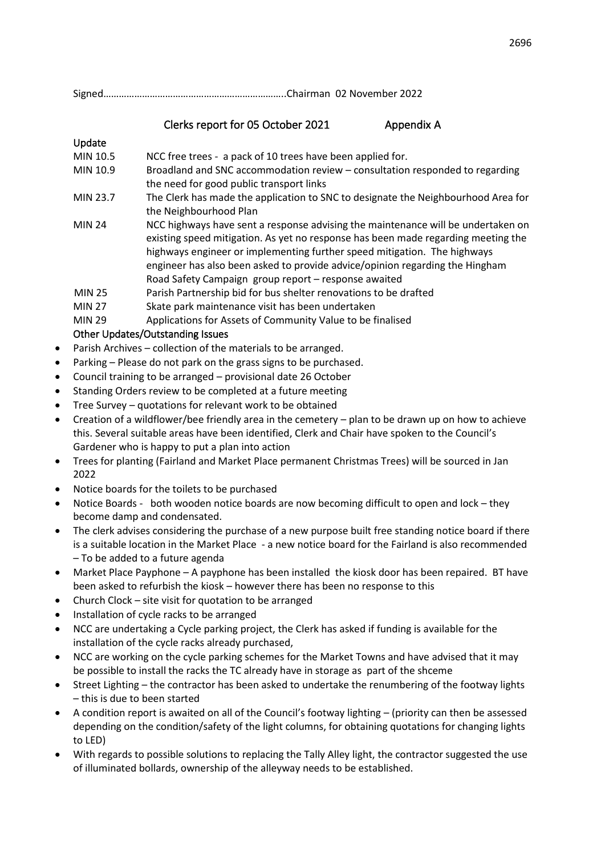Signed……………………………………………………………..Chairman 02 November 2022

# Clerks report for 05 October 2021 Appendix A

# Update

- MIN 10.5 NCC free trees a pack of 10 trees have been applied for.
- MIN 10.9 Broadland and SNC accommodation review consultation responded to regarding the need for good public transport links
- MIN 23.7 The Clerk has made the application to SNC to designate the Neighbourhood Area for the Neighbourhood Plan
- MIN 24 NCC highways have sent a response advising the maintenance will be undertaken on existing speed mitigation. As yet no response has been made regarding meeting the highways engineer or implementing further speed mitigation. The highways engineer has also been asked to provide advice/opinion regarding the Hingham Road Safety Campaign group report – response awaited
- MIN 25 Parish Partnership bid for bus shelter renovations to be drafted
- MIN 27 Skate park maintenance visit has been undertaken
- MIN 29 Applications for Assets of Community Value to be finalised

# Other Updates/Outstanding Issues

- Parish Archives collection of the materials to be arranged.
- Parking Please do not park on the grass signs to be purchased.
- Council training to be arranged provisional date 26 October
- Standing Orders review to be completed at a future meeting
- Tree Survey quotations for relevant work to be obtained
- Creation of a wildflower/bee friendly area in the cemetery plan to be drawn up on how to achieve this. Several suitable areas have been identified, Clerk and Chair have spoken to the Council's Gardener who is happy to put a plan into action
- Trees for planting (Fairland and Market Place permanent Christmas Trees) will be sourced in Jan 2022
- Notice boards for the toilets to be purchased
- Notice Boards both wooden notice boards are now becoming difficult to open and lock they become damp and condensated.
- The clerk advises considering the purchase of a new purpose built free standing notice board if there is a suitable location in the Market Place - a new notice board for the Fairland is also recommended – To be added to a future agenda
- Market Place Payphone A payphone has been installed the kiosk door has been repaired. BT have been asked to refurbish the kiosk – however there has been no response to this
- Church Clock site visit for quotation to be arranged
- Installation of cycle racks to be arranged
- NCC are undertaking a Cycle parking project, the Clerk has asked if funding is available for the installation of the cycle racks already purchased,
- NCC are working on the cycle parking schemes for the Market Towns and have advised that it may be possible to install the racks the TC already have in storage as part of the shceme
- Street Lighting the contractor has been asked to undertake the renumbering of the footway lights – this is due to been started
- A condition report is awaited on all of the Council's footway lighting (priority can then be assessed depending on the condition/safety of the light columns, for obtaining quotations for changing lights to LED)
- With regards to possible solutions to replacing the Tally Alley light, the contractor suggested the use of illuminated bollards, ownership of the alleyway needs to be established.